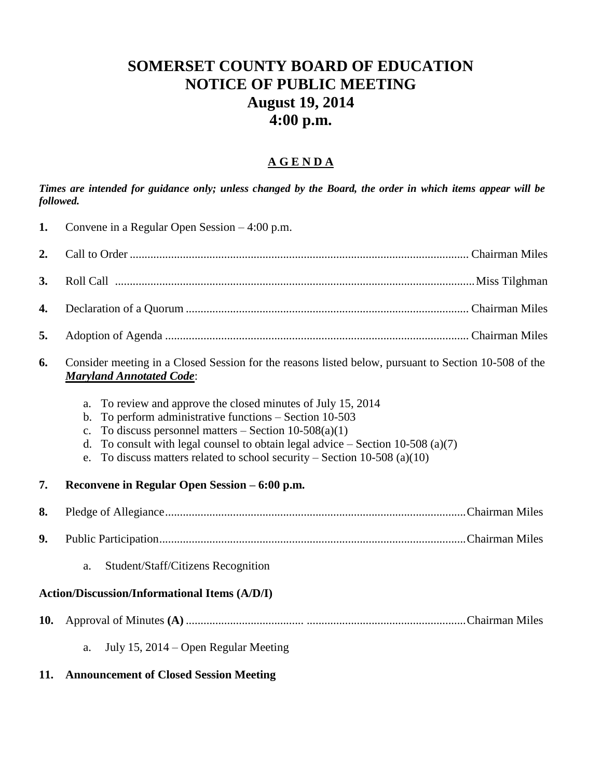## **SOMERSET COUNTY BOARD OF EDUCATION NOTICE OF PUBLIC MEETING August 19, 2014 4:00 p.m.**

## **A G E N D A**

*Times are intended for guidance only; unless changed by the Board, the order in which items appear will be followed.*

- **1.** Convene in a Regular Open Session 4:00 p.m. **2.** Call to Order ................................................................................................................... Chairman Miles **3.** Roll Call ..........................................................................................................................Miss Tilghman **4.** Declaration of a Quorum ................................................................................................ Chairman Miles **5.** Adoption of Agenda ....................................................................................................... Chairman Miles **6.** Consider meeting in a Closed Session for the reasons listed below, pursuant to Section 10-508 of the *Maryland Annotated Code*: a. To review and approve the closed minutes of July 15, 2014 b. To perform administrative functions – Section 10-503 c. To discuss personnel matters – Section  $10-508(a)(1)$ d. To consult with legal counsel to obtain legal advice – Section 10-508 (a)(7) e. To discuss matters related to school security – Section 10-508 (a)(10) **7. Reconvene in Regular Open Session – 6:00 p.m. 8.** Pledge of Allegiance......................................................................................................Chairman Miles **9.** Public Participation........................................................................................................Chairman Miles a. Student/Staff/Citizens Recognition **Action/Discussion/Informational Items (A/D/I) 10.** Approval of Minutes **(A)** ........................................ ......................................................Chairman Miles
	- a. July 15, 2014 Open Regular Meeting
- **11. Announcement of Closed Session Meeting**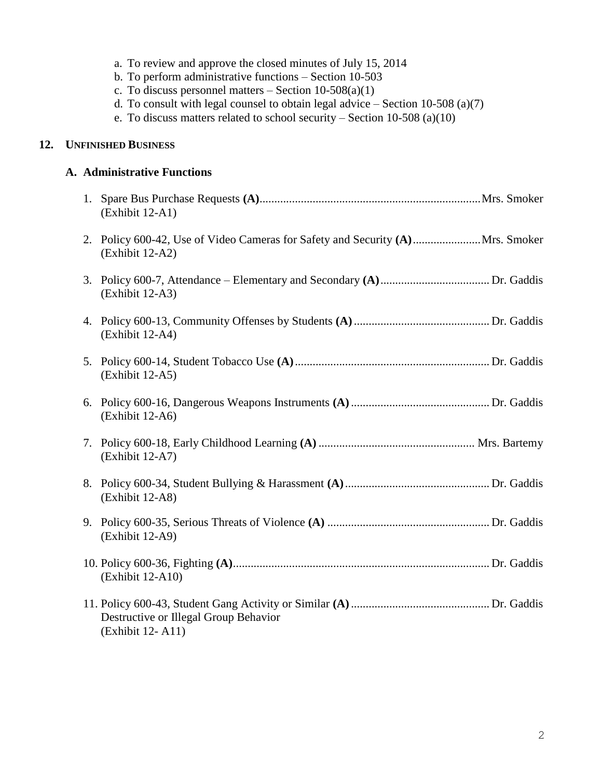|     |                            | c. To discuss personnel matters $-$ Section 10-508(a)(1)<br>d. To consult with legal counsel to obtain legal advice $-$ Section 10-508 (a)(7)<br>e. To discuss matters related to school security – Section 10-508 (a)(10) |  |  |  |
|-----|----------------------------|----------------------------------------------------------------------------------------------------------------------------------------------------------------------------------------------------------------------------|--|--|--|
| 12. | <b>UNFINISHED BUSINESS</b> |                                                                                                                                                                                                                            |  |  |  |
|     |                            | A. Administrative Functions                                                                                                                                                                                                |  |  |  |
|     |                            | (Exhibit 12-A1)                                                                                                                                                                                                            |  |  |  |
|     |                            | 2. Policy 600-42, Use of Video Cameras for Safety and Security (A) Mrs. Smoker<br>(Exhibit 12-A2)                                                                                                                          |  |  |  |
|     |                            | (Exhibit 12-A3)                                                                                                                                                                                                            |  |  |  |
|     |                            | (Exhibit 12-A4)                                                                                                                                                                                                            |  |  |  |
|     |                            | (Exhibit 12-A5)                                                                                                                                                                                                            |  |  |  |
|     |                            | (Exhibit 12-A6)                                                                                                                                                                                                            |  |  |  |
|     |                            | (Exhibit 12-A7)                                                                                                                                                                                                            |  |  |  |
|     |                            | (Exhibit 12-A8)                                                                                                                                                                                                            |  |  |  |
|     |                            | (Exhibit 12-A9)                                                                                                                                                                                                            |  |  |  |
|     |                            | (Exhibit 12-A10)                                                                                                                                                                                                           |  |  |  |
|     |                            | Destructive or Illegal Group Behavior<br>(Exhibit 12-A11)                                                                                                                                                                  |  |  |  |

a. To review and approve the closed minutes of July 15, 2014 b. To perform administrative functions – Section 10-503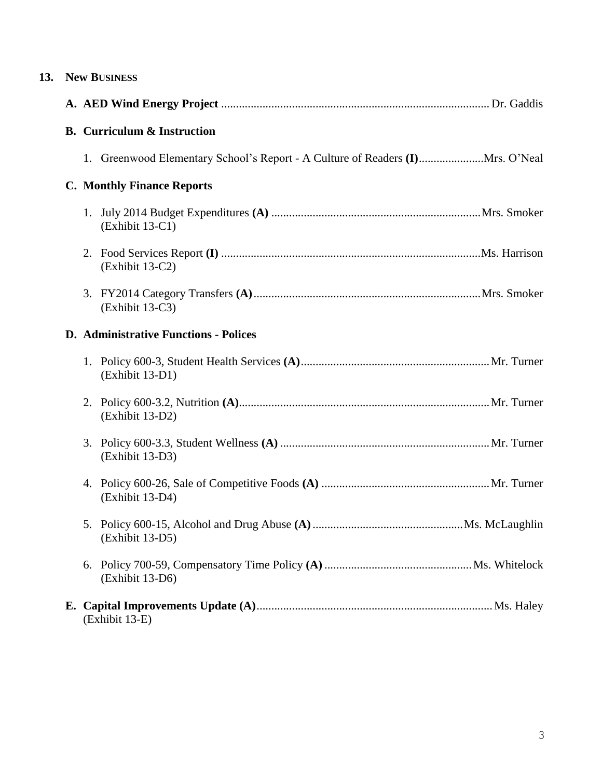| 13. | <b>New BUSINESS</b>                |  |                                                                                |  |  |
|-----|------------------------------------|--|--------------------------------------------------------------------------------|--|--|
|     |                                    |  |                                                                                |  |  |
|     | <b>B.</b> Curriculum & Instruction |  |                                                                                |  |  |
|     |                                    |  | 1. Greenwood Elementary School's Report - A Culture of Readers (I) Mrs. O'Neal |  |  |
|     |                                    |  | <b>C. Monthly Finance Reports</b>                                              |  |  |
|     |                                    |  | (Exhibit 13-C1)                                                                |  |  |
|     |                                    |  | (Exhibit 13-C2)                                                                |  |  |
|     |                                    |  | (Exhibit 13-C3)                                                                |  |  |
|     |                                    |  | <b>D.</b> Administrative Functions - Polices                                   |  |  |
|     |                                    |  | (Exhibit 13-D1)                                                                |  |  |
|     |                                    |  | (Exhibit 13-D2)                                                                |  |  |
|     |                                    |  | (Exhibit 13-D3)                                                                |  |  |
|     |                                    |  | (Exhibit 13-D4)                                                                |  |  |
|     |                                    |  | (Exhibit 13-D5)                                                                |  |  |
|     |                                    |  | (Exhibit 13-D6)                                                                |  |  |
|     |                                    |  | (Exhibit 13-E)                                                                 |  |  |